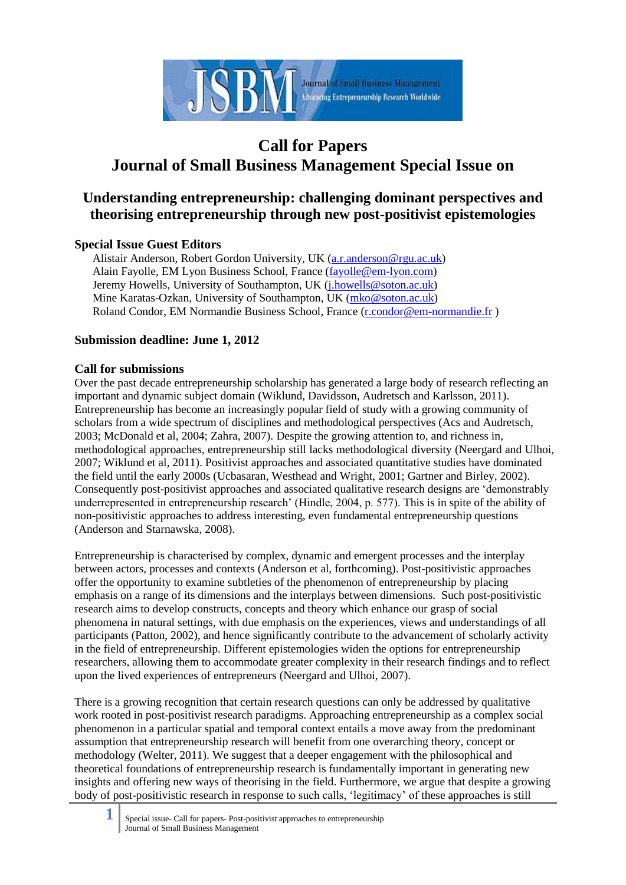

# **Call for Papers Journal of Small Business Management Special Issue on**

## **Understanding entrepreneurship: challenging dominant perspectives and theorising entrepreneurship through new post-positivist epistemologies**

## **Special Issue Guest Editors**

Alistair Anderson, Robert Gordon University, UK [\(a.r.anderson@rgu.ac.uk\)](mailto:a.r.anderson@rgu.ac.uk) Alain Fayolle, EM Lyon Business School, France [\(fayolle@em-lyon.com\)](mailto:fayolle@em-lyon.com) Jeremy Howells, University of Southampton, UK (*j.howells@soton.ac.uk*) Mine Karatas-Ozkan, University of Southampton, UK [\(mko@soton.ac.uk\)](mailto:mko@soton.ac.uk) Roland Condor, EM Normandie Business School, France [\(r.condor@em-normandie.f](mailto:r.condor@em-normandie.com)r )

## **Submission deadline: June 1, 2012**

### **Call for submissions**

Over the past decade entrepreneurship scholarship has generated a large body of research reflecting an important and dynamic subject domain (Wiklund, Davidsson, Audretsch and Karlsson, 2011). Entrepreneurship has become an increasingly popular field of study with a growing community of scholars from a wide spectrum of disciplines and methodological perspectives (Acs and Audretsch, 2003; McDonald et al, 2004; Zahra, 2007). Despite the growing attention to, and richness in, methodological approaches, entrepreneurship still lacks methodological diversity (Neergard and Ulhoi, 2007; Wiklund et al, 2011). Positivist approaches and associated quantitative studies have dominated the field until the early 2000s (Ucbasaran, Westhead and Wright, 2001; Gartner and Birley, 2002). Consequently post-positivist approaches and associated qualitative research designs are 'demonstrably underrepresented in entrepreneurship research' (Hindle, 2004, p. 577). This is in spite of the ability of non-positivistic approaches to address interesting, even fundamental entrepreneurship questions (Anderson and Starnawska, 2008).

Entrepreneurship is characterised by complex, dynamic and emergent processes and the interplay between actors, processes and contexts (Anderson et al, forthcoming). Post-positivistic approaches offer the opportunity to examine subtleties of the phenomenon of entrepreneurship by placing emphasis on a range of its dimensions and the interplays between dimensions. Such post-positivistic research aims to develop constructs, concepts and theory which enhance our grasp of social phenomena in natural settings, with due emphasis on the experiences, views and understandings of all participants (Patton, 2002), and hence significantly contribute to the advancement of scholarly activity in the field of entrepreneurship. Different epistemologies widen the options for entrepreneurship researchers, allowing them to accommodate greater complexity in their research findings and to reflect upon the lived experiences of entrepreneurs (Neergard and Ulhoi, 2007).

There is a growing recognition that certain research questions can only be addressed by qualitative work rooted in post-positivist research paradigms. Approaching entrepreneurship as a complex social phenomenon in a particular spatial and temporal context entails a move away from the predominant assumption that entrepreneurship research will benefit from one overarching theory, concept or methodology (Welter, 2011). We suggest that a deeper engagement with the philosophical and theoretical foundations of entrepreneurship research is fundamentally important in generating new insights and offering new ways of theorising in the field. Furthermore, we argue that despite a growing body of post-positivistic research in response to such calls, 'legitimacy' of these approaches is still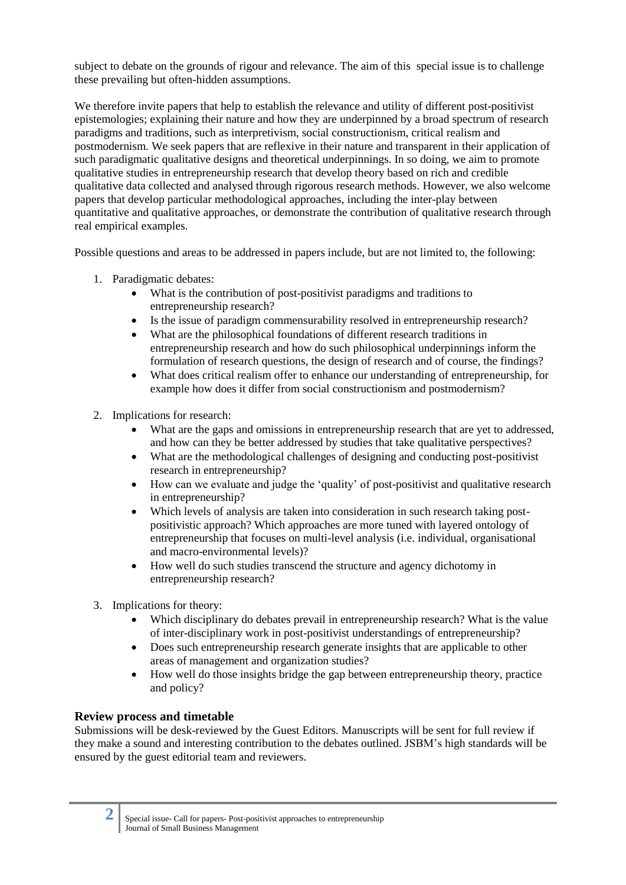subject to debate on the grounds of rigour and relevance. The aim of this special issue is to challenge these prevailing but often-hidden assumptions.

We therefore invite papers that help to establish the relevance and utility of different post-positivist epistemologies; explaining their nature and how they are underpinned by a broad spectrum of research paradigms and traditions, such as interpretivism, social constructionism, critical realism and postmodernism. We seek papers that are reflexive in their nature and transparent in their application of such paradigmatic qualitative designs and theoretical underpinnings. In so doing, we aim to promote qualitative studies in entrepreneurship research that develop theory based on rich and credible qualitative data collected and analysed through rigorous research methods. However, we also welcome papers that develop particular methodological approaches, including the inter-play between quantitative and qualitative approaches, or demonstrate the contribution of qualitative research through real empirical examples.

Possible questions and areas to be addressed in papers include, but are not limited to, the following:

- 1. Paradigmatic debates:
	- What is the contribution of post-positivist paradigms and traditions to entrepreneurship research?
	- Is the issue of paradigm commensurability resolved in entrepreneurship research?
	- What are the philosophical foundations of different research traditions in entrepreneurship research and how do such philosophical underpinnings inform the formulation of research questions, the design of research and of course, the findings?
	- What does critical realism offer to enhance our understanding of entrepreneurship, for example how does it differ from social constructionism and postmodernism?
- 2. Implications for research:
	- What are the gaps and omissions in entrepreneurship research that are yet to addressed, and how can they be better addressed by studies that take qualitative perspectives?
	- What are the methodological challenges of designing and conducting post-positivist research in entrepreneurship?
	- How can we evaluate and judge the 'quality' of post-positivist and qualitative research in entrepreneurship?
	- Which levels of analysis are taken into consideration in such research taking postpositivistic approach? Which approaches are more tuned with layered ontology of entrepreneurship that focuses on multi-level analysis (i.e. individual, organisational and macro-environmental levels)?
	- How well do such studies transcend the structure and agency dichotomy in entrepreneurship research?
- 3. Implications for theory:
	- Which disciplinary do debates prevail in entrepreneurship research? What is the value of inter-disciplinary work in post-positivist understandings of entrepreneurship?
	- Does such entrepreneurship research generate insights that are applicable to other areas of management and organization studies?
	- How well do those insights bridge the gap between entrepreneurship theory, practice and policy?

#### **Review process and timetable**

Submissions will be desk-reviewed by the Guest Editors. Manuscripts will be sent for full review if they make a sound and interesting contribution to the debates outlined. JSBM's high standards will be ensured by the guest editorial team and reviewers.